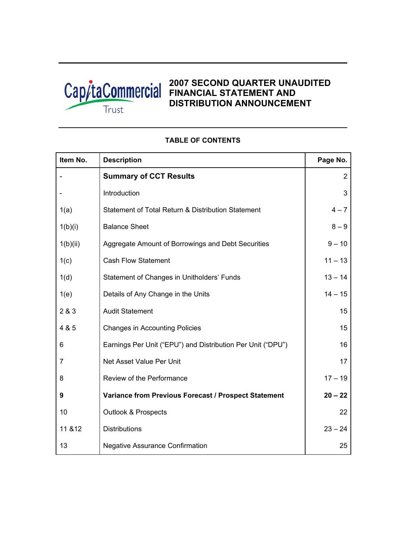

# **2007 SECOND QUARTER UNAUDITED FINANCIAL STATEMENT AND DISTRIBUTION ANNOUNCEMENT**

| Item No. | <b>Description</b>                                          | Page No.       |
|----------|-------------------------------------------------------------|----------------|
|          | <b>Summary of CCT Results</b>                               | $\overline{2}$ |
|          | Introduction                                                | 3              |
| 1(a)     | Statement of Total Return & Distribution Statement          | $4 - 7$        |
| 1(b)(i)  | <b>Balance Sheet</b>                                        | $8 - 9$        |
| 1(b)(ii) | Aggregate Amount of Borrowings and Debt Securities          | $9 - 10$       |
| 1(c)     | <b>Cash Flow Statement</b>                                  | $11 - 13$      |
| 1(d)     | Statement of Changes in Unitholders' Funds                  | $13 - 14$      |
| 1(e)     | Details of Any Change in the Units                          | $14 - 15$      |
| 2 & 3    | <b>Audit Statement</b>                                      | 15             |
| 4 & 5    | <b>Changes in Accounting Policies</b>                       | 15             |
| 6        | Earnings Per Unit ("EPU") and Distribution Per Unit ("DPU") | 16             |
| 7        | Net Asset Value Per Unit                                    | 17             |
| 8        | Review of the Performance                                   | $17 - 19$      |
| 9        | Variance from Previous Forecast / Prospect Statement        | $20 - 22$      |
| 10       | <b>Outlook &amp; Prospects</b>                              | 22             |
| 11 & 12  | <b>Distributions</b>                                        | $23 - 24$      |
| 13       | <b>Negative Assurance Confirmation</b>                      | 25             |

# **TABLE OF CONTENTS**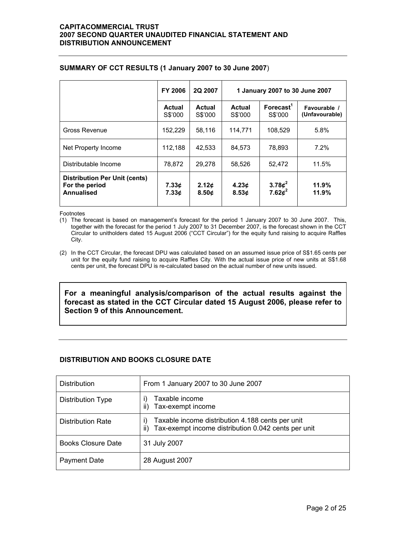|                                                                             | <b>FY 2006</b>           | 2Q 2007                                | 1 January 2007 to 30 June 2007 |                                  |                                |  |
|-----------------------------------------------------------------------------|--------------------------|----------------------------------------|--------------------------------|----------------------------------|--------------------------------|--|
|                                                                             | <b>Actual</b><br>S\$'000 | <b>Actual</b><br>S\$'000               | <b>Actual</b><br>S\$'000       | Forecast <sup>1</sup><br>S\$'000 | Favourable /<br>(Unfavourable) |  |
| Gross Revenue                                                               | 152,229                  | 58,116                                 | 114.771                        | 108.529                          | 5.8%                           |  |
| Net Property Income                                                         | 112,188                  | 42.533                                 | 84.573                         | 78.893                           | 7.2%                           |  |
| Distributable Income                                                        | 78,872                   | 29.278                                 | 58.526                         | 52.472                           | 11.5%                          |  |
| <b>Distribution Per Unit (cents)</b><br>For the period<br><b>Annualised</b> | 7.33c<br>7.33c           | 2.12 <sub>c</sub><br>8.50 <sub>c</sub> | 4.23c<br>8.53c                 | 3.78 $\phi^2$<br>7.62 $\phi^2$   | 11.9%<br>11.9%                 |  |

### **SUMMARY OF CCT RESULTS (1 January 2007 to 30 June 2007**)

Footnotes

(1) The forecast is based on management's forecast for the period 1 January 2007 to 30 June 2007. This, together with the forecast for the period 1 July 2007 to 31 December 2007, is the forecast shown in the CCT Circular to unitholders dated 15 August 2006 ("CCT Circular") for the equity fund raising to acquire Raffles City.

(2) In the CCT Circular, the forecast DPU was calculated based on an assumed issue price of S\$1.65 cents per unit for the equity fund raising to acquire Raffles City. With the actual issue price of new units at S\$1.68 cents per unit, the forecast DPU is re-calculated based on the actual number of new units issued.

**For a meaningful analysis/comparison of the actual results against the forecast as stated in the CCT Circular dated 15 August 2006, please refer to Section 9 of this Announcement.** 

# **DISTRIBUTION AND BOOKS CLOSURE DATE**

| <b>Distribution</b>       | From 1 January 2007 to 30 June 2007                                                                           |
|---------------------------|---------------------------------------------------------------------------------------------------------------|
| Distribution Type         | Taxable income<br>Tax-exempt income                                                                           |
| <b>Distribution Rate</b>  | Taxable income distribution 4.188 cents per unit<br>I)<br>Tax-exempt income distribution 0.042 cents per unit |
| <b>Books Closure Date</b> | 31 July 2007                                                                                                  |
| <b>Payment Date</b>       | 28 August 2007                                                                                                |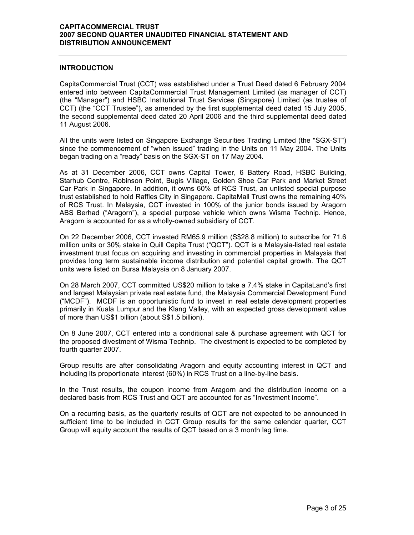#### **INTRODUCTION**

CapitaCommercial Trust (CCT) was established under a Trust Deed dated 6 February 2004 entered into between CapitaCommercial Trust Management Limited (as manager of CCT) (the "Manager") and HSBC Institutional Trust Services (Singapore) Limited (as trustee of CCT) (the "CCT Trustee"), as amended by the first supplemental deed dated 15 July 2005, the second supplemental deed dated 20 April 2006 and the third supplemental deed dated 11 August 2006.

All the units were listed on Singapore Exchange Securities Trading Limited (the "SGX-ST") since the commencement of "when issued" trading in the Units on 11 May 2004. The Units began trading on a "ready" basis on the SGX-ST on 17 May 2004.

As at 31 December 2006, CCT owns Capital Tower, 6 Battery Road, HSBC Building, Starhub Centre, Robinson Point, Bugis Village, Golden Shoe Car Park and Market Street Car Park in Singapore. In addition, it owns 60% of RCS Trust, an unlisted special purpose trust established to hold Raffles City in Singapore. CapitaMall Trust owns the remaining 40% of RCS Trust. In Malaysia, CCT invested in 100% of the junior bonds issued by Aragorn ABS Berhad ("Aragorn"), a special purpose vehicle which owns Wisma Technip. Hence, Aragorn is accounted for as a wholly-owned subsidiary of CCT.

On 22 December 2006, CCT invested RM65.9 million (S\$28.8 million) to subscribe for 71.6 million units or 30% stake in Quill Capita Trust ("QCT"). QCT is a Malaysia-listed real estate investment trust focus on acquiring and investing in commercial properties in Malaysia that provides long term sustainable income distribution and potential capital growth. The QCT units were listed on Bursa Malaysia on 8 January 2007.

On 28 March 2007, CCT committed US\$20 million to take a 7.4% stake in CapitaLand's first and largest Malaysian private real estate fund, the Malaysia Commercial Development Fund ("MCDF"). MCDF is an opportunistic fund to invest in real estate development properties primarily in Kuala Lumpur and the Klang Valley, with an expected gross development value of more than US\$1 billion (about S\$1.5 billion).

On 8 June 2007, CCT entered into a conditional sale & purchase agreement with QCT for the proposed divestment of Wisma Technip. The divestment is expected to be completed by fourth quarter 2007.

Group results are after consolidating Aragorn and equity accounting interest in QCT and including its proportionate interest (60%) in RCS Trust on a line-by-line basis.

In the Trust results, the coupon income from Aragorn and the distribution income on a declared basis from RCS Trust and QCT are accounted for as "Investment Income".

On a recurring basis, as the quarterly results of QCT are not expected to be announced in sufficient time to be included in CCT Group results for the same calendar quarter, CCT Group will equity account the results of QCT based on a 3 month lag time.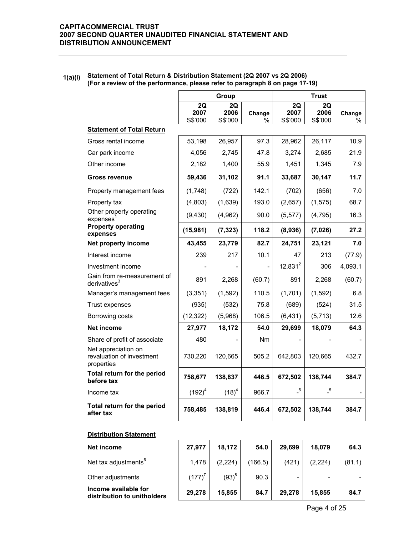#### **1(a)(i) Statement of Total Return & Distribution Statement (2Q 2007 vs 2Q 2006) (For a review of the performance, please refer to paragraph 8 on page 17-19)**

|                                                                |                       | Group                 |                |                       | <b>Trust</b>          |             |
|----------------------------------------------------------------|-----------------------|-----------------------|----------------|-----------------------|-----------------------|-------------|
|                                                                | 2Q<br>2007<br>S\$'000 | 2Q<br>2006<br>S\$'000 | Change<br>$\%$ | 2Q<br>2007<br>S\$'000 | 2Q<br>2006<br>S\$'000 | Change<br>% |
| <b>Statement of Total Return</b>                               |                       |                       |                |                       |                       |             |
| Gross rental income                                            | 53,198                | 26,957                | 97.3           | 28,962                | 26,117                | 10.9        |
| Car park income                                                | 4,056                 | 2,745                 | 47.8           | 3,274                 | 2,685                 | 21.9        |
| Other income                                                   | 2,182                 | 1,400                 | 55.9           | 1,451                 | 1,345                 | 7.9         |
| <b>Gross revenue</b>                                           | 59,436                | 31,102                | 91.1           | 33,687                | 30,147                | 11.7        |
| Property management fees                                       | (1,748)               | (722)                 | 142.1          | (702)                 | (656)                 | 7.0         |
| Property tax                                                   | (4,803)               | (1,639)               | 193.0          | (2,657)               | (1, 575)              | 68.7        |
| Other property operating<br>expenses                           | (9, 430)              | (4,962)               | 90.0           | (5, 577)              | (4, 795)              | 16.3        |
| <b>Property operating</b><br>expenses                          | (15,981)              | (7, 323)              | 118.2          | (8,936)               | (7,026)               | 27.2        |
| Net property income                                            | 43,455                | 23,779                | 82.7           | 24,751                | 23,121                | 7.0         |
| Interest income                                                | 239                   | 217                   | 10.1           | 47                    | 213                   | (77.9)      |
| Investment income                                              |                       |                       |                | $12,831^2$            | 306                   | 4,093.1     |
| Gain from re-measurement of<br>derivatives $3$                 | 891                   | 2,268                 | (60.7)         | 891                   | 2,268                 | (60.7)      |
| Manager's management fees                                      | (3, 351)              | (1,592)               | 110.5          | (1,701)               | (1,592)               | 6.8         |
| Trust expenses                                                 | (935)                 | (532)                 | 75.8           | (689)                 | (524)                 | 31.5        |
| Borrowing costs                                                | (12, 322)             | (5,968)               | 106.5          | (6, 431)              | (5, 713)              | 12.6        |
| Net income                                                     | 27,977                | 18,172                | 54.0           | 29,699                | 18,079                | 64.3        |
| Share of profit of associate                                   | 480                   |                       | Nm             |                       |                       |             |
| Net appreciation on<br>revaluation of investment<br>properties | 730,220               | 120,665               | 505.2          | 642,803               | 120,665               | 432.7       |
| Total return for the period<br>before tax                      | 758,677               | 138,837               | 446.5          | 672,502               | 138,744               | 384.7       |
| Income tax                                                     | $(192)^4$             | $(18)^4$              | 966.7          | 5                     | 5                     |             |
| Total return for the period<br>after tax                       | 758,485               | 138,819               | 446.4          | 672,502               | 138,744               | 384.7       |
| <b>Distribution Statement</b>                                  |                       |                       |                |                       |                       |             |
| Net income                                                     | 27,977                | 18,172                | 54.0           | 29,699                | 18,079                | 64.3        |
| Net tax adjustments <sup>6</sup>                               | 1,478                 | (2, 224)              | (166.5)        | (421)                 | (2, 224)              | (81.1)      |
| Other adjustments                                              | $(177)^7$             | $(93)^{8}$            | 90.3           |                       |                       |             |

**Income available for distribution to unitholders**  $\begin{array}{|c|c|c|c|c|} \hline \end{array}$  29,278  $\begin{array}{|c|c|c|c|c|} \hline \end{array}$  34.7 **84.7** 29,278  $\begin{array}{|c|c|c|c|} \hline \end{array}$  34.7 **84.7**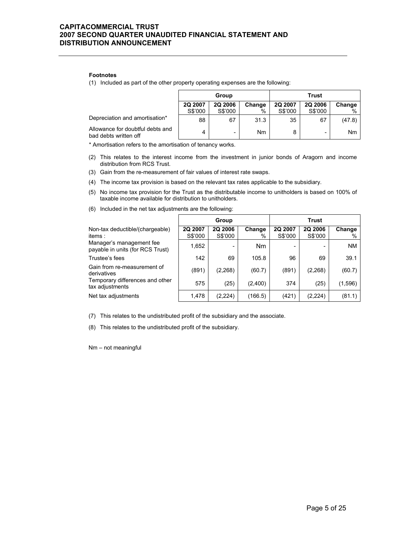#### **Footnotes**

(1) Included as part of the other property operating expenses are the following:

|                                                           |                    | Group                     |                | Trust                     |                    |             |  |
|-----------------------------------------------------------|--------------------|---------------------------|----------------|---------------------------|--------------------|-------------|--|
|                                                           | 2Q 2007<br>S\$'000 | <b>2Q 2006</b><br>S\$'000 | Change<br>$\%$ | <b>2Q 2007</b><br>S\$'000 | 2Q 2006<br>S\$'000 | Change<br>% |  |
| Depreciation and amortisation*                            | 88                 | 67                        | 31.3           | 35                        | 67                 | (47.8)      |  |
| Allowance for doubtful debts and<br>bad debts written off | 4                  | -                         | Nm             | 8                         | -                  | <b>Nm</b>   |  |

\* Amortisation refers to the amortisation of tenancy works.

- (2) This relates to the interest income from the investment in junior bonds of Aragorn and income distribution from RCS Trust.
- (3) Gain from the re-measurement of fair values of interest rate swaps.
- (4) The income tax provision is based on the relevant tax rates applicable to the subsidiary.
- (5) No income tax provision for the Trust as the distributable income to unitholders is based on 100% of taxable income available for distribution to unitholders.
- (6) Included in the net tax adjustments are the following:

|                                                              |                    | Group                     |             |                           | <b>Trust</b>              |             |
|--------------------------------------------------------------|--------------------|---------------------------|-------------|---------------------------|---------------------------|-------------|
| Non-tax deductible/(chargeable)<br>items :                   | 2Q 2007<br>S\$'000 | <b>2Q 2006</b><br>S\$'000 | Change<br>% | <b>2Q 2007</b><br>S\$'000 | <b>2Q 2006</b><br>S\$'000 | Change<br>% |
| Manager's management fee<br>payable in units (for RCS Trust) | 1,652              | ۰                         | <b>Nm</b>   |                           |                           | <b>NM</b>   |
| Trustee's fees                                               | 142                | 69                        | 105.8       | 96                        | 69                        | 39.1        |
| Gain from re-measurement of<br>derivatives                   | (891)              | (2,268)                   | (60.7)      | (891)                     | (2,268)                   | (60.7)      |
| Temporary differences and other<br>tax adjustments           | 575                | (25)                      | (2,400)     | 374                       | (25)                      | (1,596)     |
| Net tax adjustments                                          | 1,478              | (2,224)                   | (166.5)     | (421)                     | (2,224)                   | (81.1)      |

(7) This relates to the undistributed profit of the subsidiary and the associate.

(8) This relates to the undistributed profit of the subsidiary.

Nm – not meaningful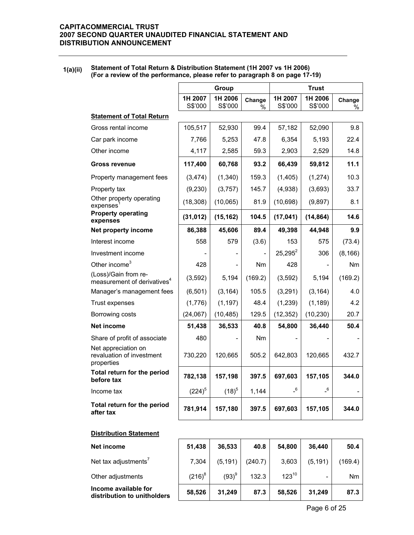#### **1(a)(ii) Statement of Total Return & Distribution Statement (1H 2007 vs 1H 2006) (For a review of the performance, please refer to paragraph 8 on page 17-19)**

|                                                                 | Group              |                    |                | <b>Trust</b>               |                            |                |
|-----------------------------------------------------------------|--------------------|--------------------|----------------|----------------------------|----------------------------|----------------|
|                                                                 | 1H 2007<br>S\$'000 | 1H 2006<br>S\$'000 | Change<br>%    | 1H 2007<br>S\$'000         | 1H 2006<br>S\$'000         | Change<br>$\%$ |
| <b>Statement of Total Return</b>                                |                    |                    |                |                            |                            |                |
| Gross rental income                                             | 105,517            | 52,930             | 99.4           | 57,182                     | 52,090                     | 9.8            |
| Car park income                                                 | 7,766              | 5,253              | 47.8           | 6,354                      | 5,193                      | 22.4           |
| Other income                                                    | 4,117              | 2,585              | 59.3           | 2,903                      | 2,529                      | 14.8           |
| <b>Gross revenue</b>                                            | 117,400            | 60,768             | 93.2           | 66,439                     | 59,812                     | 11.1           |
| Property management fees                                        | (3, 474)           | (1,340)            | 159.3          | (1,405)                    | (1,274)                    | 10.3           |
| Property tax                                                    | (9,230)            | (3,757)            | 145.7          | (4,938)                    | (3,693)                    | 33.7           |
| Other property operating<br>expenses                            | (18, 308)          | (10,065)           | 81.9           | (10, 698)                  | (9,897)                    | 8.1            |
| <b>Property operating</b><br>expenses                           | (31, 012)          | (15, 162)          | 104.5          | (17, 041)                  | (14, 864)                  | 14.6           |
| Net property income                                             | 86,388             | 45,606             | 89.4           | 49,398                     | 44,948                     | 9.9            |
| Interest income                                                 | 558                | 579                | (3.6)          | 153                        | 575                        | (73.4)         |
| Investment income                                               |                    |                    |                | $25,295^2$                 | 306                        | (8, 166)       |
| Other income <sup>3</sup>                                       | 428                |                    | N <sub>m</sub> | 428                        |                            | N <sub>m</sub> |
| (Loss)/Gain from re-<br>measurement of derivatives <sup>4</sup> | (3, 592)           | 5,194              | (169.2)        | (3,592)                    | 5,194                      | (169.2)        |
| Manager's management fees                                       | (6, 501)           | (3, 164)           | 105.5          | (3,291)                    | (3, 164)                   | 4.0            |
| Trust expenses                                                  | (1,776)            | (1, 197)           | 48.4           | (1,239)                    | (1, 189)                   | 4.2            |
| Borrowing costs                                                 | (24,067)           | (10, 485)          | 129.5          | (12, 352)                  | (10, 230)                  | 20.7           |
| <b>Net income</b>                                               | 51,438             | 36,533             | 40.8           | 54,800                     | 36,440                     | 50.4           |
| Share of profit of associate                                    | 480                |                    | N <sub>m</sub> |                            |                            |                |
| Net appreciation on<br>revaluation of investment<br>properties  | 730,220            | 120,665            | 505.2          | 642,803                    | 120,665                    | 432.7          |
| Total return for the period<br>before tax                       | 782,138            | 157,198            | 397.5          | 697,603                    | 157,105                    | 344.0          |
|                                                                 | $(224)^5$          | $(18)^{5}$         | 1,144          | $\overline{\phantom{0}}^6$ | $\overline{\phantom{0}}^6$ |                |
| Income tax                                                      |                    |                    |                |                            |                            |                |

| Net income                                          | 51,438    | 36,533     | 40.8    | 54,800     | 36.440   | 50.4           |
|-----------------------------------------------------|-----------|------------|---------|------------|----------|----------------|
| Net tax adjustments'                                | 7.304     | (5, 191)   | (240.7) | 3,603      | (5, 191) | (169.4)        |
| Other adjustments                                   | $(216)^8$ | $(93)^{9}$ | 132.3   | $123^{10}$ | -        | N <sub>m</sub> |
| Income available for<br>distribution to unitholders | 58,526    | 31.249     | 87.3    | 58,526     | 31,249   | 87.3           |

Page 6 of 25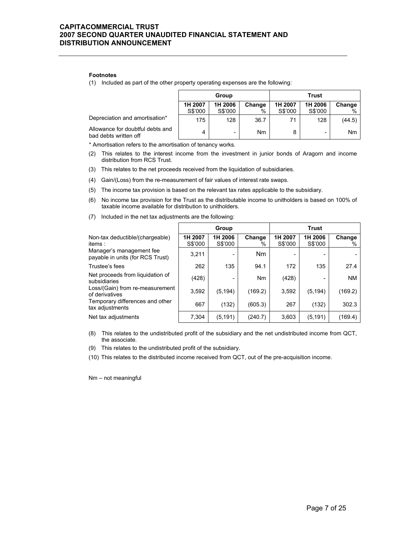#### **Footnotes**

(1) Included as part of the other property operating expenses are the following:

|                                                           |                    | Group              |                | Trust              |                    |             |  |
|-----------------------------------------------------------|--------------------|--------------------|----------------|--------------------|--------------------|-------------|--|
|                                                           | 1H 2007<br>S\$'000 | 1H 2006<br>S\$'000 | Change<br>$\%$ | 1H 2007<br>S\$'000 | 1H 2006<br>S\$'000 | Change<br>% |  |
| Depreciation and amortisation*                            | 175                | 128                | 36.7           | 71                 | 128                | (44.5)      |  |
| Allowance for doubtful debts and<br>bad debts written off | 4                  | -                  | Nm             | 8                  |                    | Nm          |  |

\* Amortisation refers to the amortisation of tenancy works.

- (2) This relates to the interest income from the investment in junior bonds of Aragorn and income distribution from RCS Trust.
- (3) This relates to the net proceeds received from the liquidation of subsidiaries.
- (4) Gain/(Loss) from the re-measurement of fair values of interest rate swaps.
- (5) The income tax provision is based on the relevant tax rates applicable to the subsidiary.
- (6) No income tax provision for the Trust as the distributable income to unitholders is based on 100% of taxable income available for distribution to unitholders.

| (7) Included in the net tax adjustments are the following: |  |
|------------------------------------------------------------|--|
|                                                            |  |

|                                                              |                    | Group              |                | <b>Trust</b>       |                    |             |  |
|--------------------------------------------------------------|--------------------|--------------------|----------------|--------------------|--------------------|-------------|--|
| Non-tax deductible/(chargeable)<br>items:                    | 1H 2007<br>S\$'000 | 1H 2006<br>S\$'000 | Change<br>$\%$ | 1H 2007<br>S\$'000 | 1H 2006<br>S\$'000 | Change<br>% |  |
| Manager's management fee<br>payable in units (for RCS Trust) | 3,211              | ۰                  | Nm             |                    |                    |             |  |
| Trustee's fees                                               | 262                | 135                | 94.1           | 172                | 135                | 27.4        |  |
| Net proceeds from liquidation of<br>subsidiaries             | (428)              |                    | Nm             | (428)              |                    | <b>NM</b>   |  |
| Loss/(Gain) from re-measurement<br>of derivatives            | 3,592              | (5.194)            | (169.2)        | 3,592              | (5, 194)           | (169.2)     |  |
| Temporary differences and other<br>tax adjustments           | 667                | (132)              | (605.3)        | 267                | (132)              | 302.3       |  |
| Net tax adjustments                                          | 7,304              | (5, 191)           | (240.7)        | 3,603              | (5, 191)           | (169.4)     |  |

- (8) This relates to the undistributed profit of the subsidiary and the net undistributed income from QCT, the associate.
- (9) This relates to the undistributed profit of the subsidiary.
- (10) This relates to the distributed income received from QCT, out of the pre-acquisition income.

Nm – not meaningful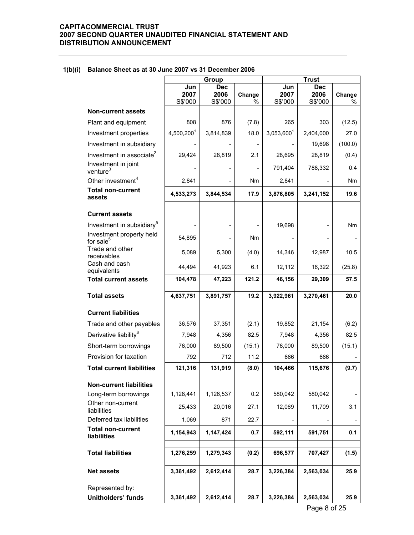#### **Group Constant Constant Constant Constant Constant Constant Constant Constant Constant Constant Constant Const Jun 2007** S\$'000  **Dec 2006** S\$'000 **Change**   $\frac{0}{0}$  **Jun 2007** S\$'000  **Dec 2006** S\$'000 **Change**  %  **Non-current assets**  Plant and equipment  $\begin{vmatrix} 808 & 876 \\ 803 & 1216 \end{vmatrix}$  (7.8) 265 303 (12.5)  $Investment properties$   $4,500,200^1$  3,814,839 18.0 3,053,600<sup>1</sup> 2,404,000 27.0 Investment in subsidiary  $\begin{vmatrix} 1 & 1 & 1 & 1 \\ 1 & 1 & 1 & 1 \\ 0 & 0 & 1 & 1 \end{vmatrix}$  19,698 (100.0)  $Investment in associate^2$  | 29,424 | 28,819 | 2.1 | 28,695 | 28,819 | (0.4) Investment in joint<br>venture<sup>3</sup> venture3 - - - 791,404 788,332 0.4 Other investment<sup>4</sup>  $\begin{array}{|c|c|c|c|c|c|c|c|c|} \hline \text{Other investment}^4 & 2,841 & -& -& \text{Nm} \ \hline \end{array}$ **Total non-current assets 100-2011ent 12.533,273** 3,844,534 17.9 3,876,805 3,241,152 19.6 **Current assets**  Investment in subsidiary5 - - - 19,698 - Nm Investment property held<br>for sale $<sup>5</sup>$ </sup> for sale<sup>5</sup>  $\left[\begin{array}{ccc} 54,895 \\ 54,895 \end{array}\right]$   $\left[\begin{array}{ccc} 1 & 0 & - & - \\ 0 & - & - \end{array}\right]$ Trade and other<br>receivables receivables  $\begin{array}{|c|c|c|c|c|c|c|c|c|} \hline \end{array}$  5,089 5,300 (4.0) 14,346 12,987 10.5 Cash and cash equivalents 1.44,494 44,494 41,923 6.1 12,112 16,322 (25.8) **Total current assets 104,478 47,223 121.2 46,156 29,309 57.5 Total assets 4,637,751 3,891,757 19.2 3,922,961 3,270,461 20.0 Current liabilities**  Trade and other payables | 36,576 | 37,351 | (2.1) | 19,852 | 21,154 | (6.2) Derivative liability<sup>6</sup> | 7,948 | 4,356 | 82.5 | 7,948 | 4,356 | 82.5 Short-term borrowings | 76,000 89,500 (15.1) 76,000 89,500 (15.1) Provision for taxation  $\begin{array}{|c|c|c|c|c|c|c|c|c|} \hline \end{array}$  792  $\begin{array}{|c|c|c|c|c|c|c|c|} \hline \end{array}$  712  $\begin{array}{|c|c|c|c|c|c|c|c|c|} \hline \end{array}$  666 666 **Total current liabilities | 121,316 | 131,919 | (8.0) | 104,466 | 115,676 | (9.7) Non-current liabilities**  Long-term borrowings | 1,128,441 | 1,126,537 | 0.2 | 580,042 | 580,042 Other non-current Unici inchi carrein 25,433 | 20,016 | 27.1 | 12,069 | 11,709 | 3.1 Deferred tax liabilities 1,069 871 22.7 - - - **Total non-current liabilities 1,154,943** 1,147,424 **0.7 592,111 591,751 0.1 Total liabilities** 1,276,259 | 1,279,343 | (0.2) | 696,577 | 707,427 | (1.5) **Net assets 3,361,492 2,612,414 28.7 3,226,384 2,563,034 25.9**  Represented by: **Unitholders' funds 3,361,492 2,612,414 28.7 3,226,384 2,563,034 25.9**

#### **1(b)(i) Balance Sheet as at 30 June 2007 vs 31 December 2006**

Page 8 of 25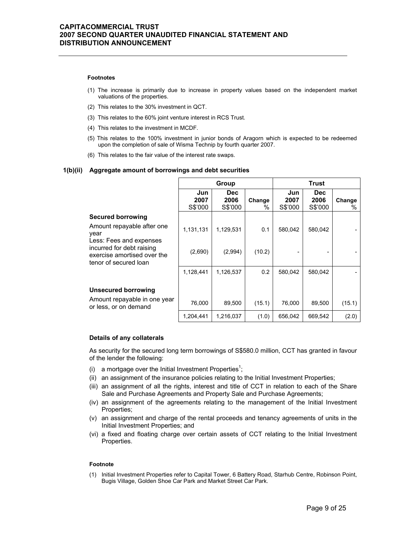#### **Footnotes**

- (1) The increase is primarily due to increase in property values based on the independent market valuations of the properties.
- (2) This relates to the 30% investment in QCT.
- (3) This relates to the 60% joint venture interest in RCS Trust.
- (4) This relates to the investment in MCDF.
- (5) This relates to the 100% investment in junior bonds of Aragorn which is expected to be redeemed upon the completion of sale of Wisma Technip by fourth quarter 2007.
- (6) This relates to the fair value of the interest rate swaps.

#### **1(b)(ii) Aggregate amount of borrowings and debt securities**

|                                                                                                              |                        | Group                   |             |                        | <b>Trust</b>            |             |
|--------------------------------------------------------------------------------------------------------------|------------------------|-------------------------|-------------|------------------------|-------------------------|-------------|
|                                                                                                              | Jun<br>2007<br>S\$'000 | Dec.<br>2006<br>S\$'000 | Change<br>% | Jun<br>2007<br>S\$'000 | Dec.<br>2006<br>S\$'000 | Change<br>% |
| <b>Secured borrowing</b>                                                                                     |                        |                         |             |                        |                         |             |
| Amount repayable after one<br>year                                                                           | 1,131,131              | 1,129,531               | 0.1         | 580,042                | 580,042                 |             |
| Less: Fees and expenses<br>incurred for debt raising<br>exercise amortised over the<br>tenor of secured loan | (2,690)                | (2,994)                 | (10.2)      |                        |                         |             |
|                                                                                                              | 1,128,441              | 1,126,537               | 0.2         | 580.042                | 580.042                 |             |
|                                                                                                              |                        |                         |             |                        |                         |             |
| <b>Unsecured borrowing</b>                                                                                   |                        |                         |             |                        |                         |             |
| Amount repayable in one year<br>or less, or on demand                                                        | 76,000                 | 89,500                  | (15.1)      | 76,000                 | 89,500                  | (15.1)      |
|                                                                                                              | 1,204,441              | 1,216,037               | (1.0)       | 656,042                | 669,542                 | (2.0)       |

#### **Details of any collaterals**

As security for the secured long term borrowings of S\$580.0 million, CCT has granted in favour of the lender the following:

- (i) a mortgage over the Initial Investment Properties<sup>1</sup>;
- (ii) an assignment of the insurance policies relating to the Initial Investment Properties;
- (iii) an assignment of all the rights, interest and title of CCT in relation to each of the Share Sale and Purchase Agreements and Property Sale and Purchase Agreements;
- (iv) an assignment of the agreements relating to the management of the Initial Investment Properties;
- (v) an assignment and charge of the rental proceeds and tenancy agreements of units in the Initial Investment Properties; and
- (vi) a fixed and floating charge over certain assets of CCT relating to the Initial Investment Properties.

#### **Footnote**

(1) Initial Investment Properties refer to Capital Tower, 6 Battery Road, Starhub Centre, Robinson Point, Bugis Village, Golden Shoe Car Park and Market Street Car Park.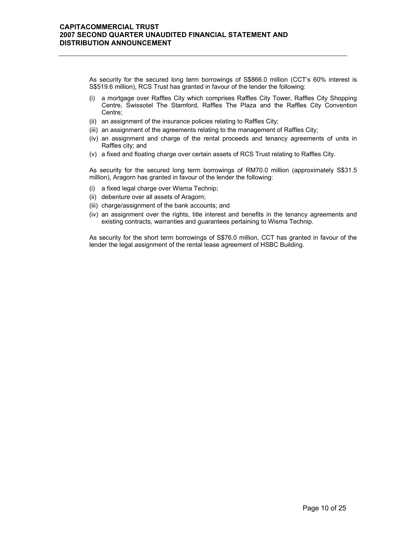As security for the secured long term borrowings of S\$866.0 million (CCT's 60% interest is S\$519.6 million), RCS Trust has granted in favour of the lender the following:

- (i) a mortgage over Raffles City which comprises Raffles City Tower, Raffles City Shopping Centre, Swissotel The Stamford, Raffles The Plaza and the Raffles City Convention Centre;
- (ii) an assignment of the insurance policies relating to Raffles City;
- (iii) an assignment of the agreements relating to the management of Raffles City;
- (iv) an assignment and charge of the rental proceeds and tenancy agreements of units in Raffles city; and
- (v) a fixed and floating charge over certain assets of RCS Trust relating to Raffles City.

As security for the secured long term borrowings of RM70.0 million (approximately S\$31.5 million), Aragorn has granted in favour of the lender the following:

- (i) a fixed legal charge over Wisma Technip;
- (ii) debenture over all assets of Aragorn;
- (iii) charge/assignment of the bank accounts; and
- (iv) an assignment over the rights, title interest and benefits in the tenancy agreements and existing contracts, warranties and guarantees pertaining to Wisma Technip.

As security for the short term borrowings of S\$76.0 million, CCT has granted in favour of the lender the legal assignment of the rental lease agreement of HSBC Building.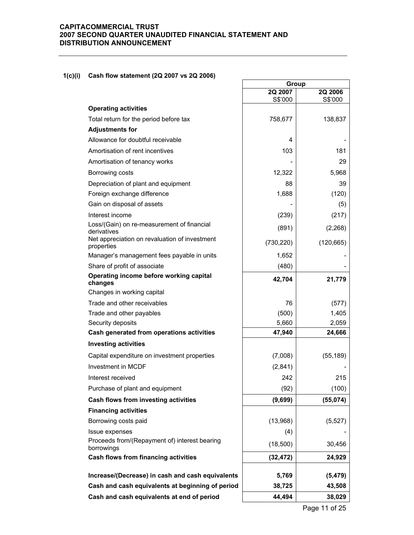### **1(c)(i) Cash flow statement (2Q 2007 vs 2Q 2006)**

|                                                              |                    | Group              |  |
|--------------------------------------------------------------|--------------------|--------------------|--|
|                                                              | 2Q 2007<br>S\$'000 | 2Q 2006<br>S\$'000 |  |
| <b>Operating activities</b>                                  |                    |                    |  |
| Total return for the period before tax                       | 758,677            | 138,837            |  |
| <b>Adjustments for</b>                                       |                    |                    |  |
| Allowance for doubtful receivable                            | 4                  |                    |  |
| Amortisation of rent incentives                              | 103                | 181                |  |
| Amortisation of tenancy works                                |                    | 29                 |  |
| Borrowing costs                                              | 12,322             | 5,968              |  |
| Depreciation of plant and equipment                          | 88                 | 39                 |  |
| Foreign exchange difference                                  | 1,688              | (120)              |  |
| Gain on disposal of assets                                   |                    | (5)                |  |
| Interest income                                              | (239)              | (217)              |  |
| Loss/(Gain) on re-measurement of financial                   | (891)              | (2,268)            |  |
| derivatives<br>Net appreciation on revaluation of investment |                    |                    |  |
| properties                                                   | (730, 220)         | (120, 665)         |  |
| Manager's management fees payable in units                   | 1,652              |                    |  |
| Share of profit of associate                                 | (480)              |                    |  |
| Operating income before working capital<br>changes           | 42,704             | 21,779             |  |
| Changes in working capital                                   |                    |                    |  |
| Trade and other receivables                                  | 76                 | (577)              |  |
| Trade and other payables                                     | (500)              | 1,405              |  |
| Security deposits                                            | 5,660              | 2,059              |  |
| Cash generated from operations activities                    | 47,940             | 24,666             |  |
| <b>Investing activities</b>                                  |                    |                    |  |
| Capital expenditure on investment properties                 | (7,008)            | (55, 189)          |  |
| <b>Investment in MCDF</b>                                    | (2,841)            |                    |  |
| Interest received                                            | 242                | 215                |  |
| Purchase of plant and equipment                              | (92)               | (100)              |  |
| Cash flows from investing activities                         | (9,699)            | (55,074)           |  |
| <b>Financing activities</b>                                  |                    |                    |  |
| Borrowing costs paid                                         | (13,968)           | (5, 527)           |  |
| Issue expenses                                               | (4)                |                    |  |
| Proceeds from/(Repayment of) interest bearing<br>borrowings  | (18,500)           | 30,456             |  |
| Cash flows from financing activities                         | (32, 472)          | 24,929             |  |
| Increase/(Decrease) in cash and cash equivalents             | 5,769              | (5, 479)           |  |
| Cash and cash equivalents at beginning of period             | 38,725             | 43,508             |  |
| Cash and cash equivalents at end of period                   | 44,494             | 38,029             |  |
|                                                              |                    |                    |  |

 $\overline{\phantom{0}}$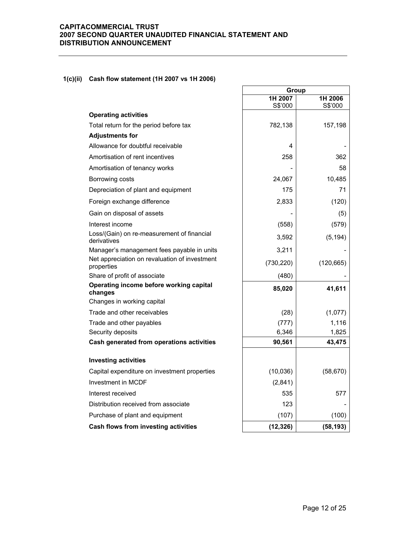### **1(c)(ii) Cash flow statement (1H 2007 vs 1H 2006)**

|                                                             | Group              |                    |
|-------------------------------------------------------------|--------------------|--------------------|
|                                                             | 1H 2007<br>S\$'000 | 1H 2006<br>S\$'000 |
| <b>Operating activities</b>                                 |                    |                    |
| Total return for the period before tax                      | 782,138            | 157,198            |
| <b>Adjustments for</b>                                      |                    |                    |
| Allowance for doubtful receivable                           | 4                  |                    |
| Amortisation of rent incentives                             | 258                | 362                |
| Amortisation of tenancy works                               |                    | 58                 |
| Borrowing costs                                             | 24,067             | 10,485             |
| Depreciation of plant and equipment                         | 175                | 71                 |
| Foreign exchange difference                                 | 2,833              | (120)              |
| Gain on disposal of assets                                  |                    | (5)                |
| Interest income                                             | (558)              | (579)              |
| Loss/(Gain) on re-measurement of financial<br>derivatives   | 3,592              | (5, 194)           |
| Manager's management fees payable in units                  | 3,211              |                    |
| Net appreciation on revaluation of investment<br>properties | (730, 220)         | (120, 665)         |
| Share of profit of associate                                | (480)              |                    |
| Operating income before working capital<br>changes          | 85,020             | 41,611             |
| Changes in working capital                                  |                    |                    |
| Trade and other receivables                                 | (28)               | (1,077)            |
| Trade and other payables                                    | (777)              | 1,116              |
| Security deposits                                           | 6,346              | 1,825              |
| Cash generated from operations activities                   | 90,561             | 43,475             |
| <b>Investing activities</b>                                 |                    |                    |
| Capital expenditure on investment properties                | (10,036)           | (58, 670)          |
| Investment in MCDF                                          | (2,841)            |                    |
| Interest received                                           | 535                | 577                |
| Distribution received from associate                        | 123                |                    |
| Purchase of plant and equipment                             | (107)              | (100)              |
| Cash flows from investing activities                        | (12, 326)          | (58, 193)          |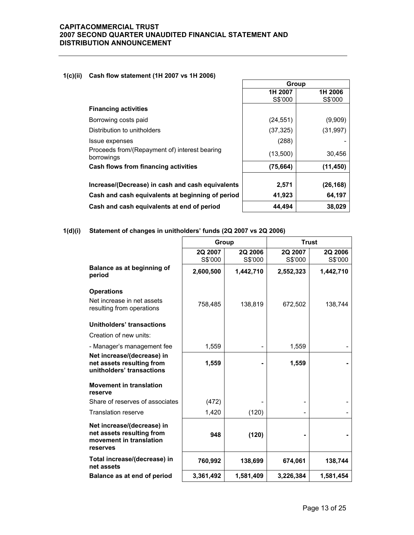### **1(c)(ii) Cash flow statement (1H 2007 vs 1H 2006)**

|                                                             | Group              |                    |  |
|-------------------------------------------------------------|--------------------|--------------------|--|
|                                                             | 1H 2007<br>S\$'000 | 1H 2006<br>S\$'000 |  |
| <b>Financing activities</b>                                 |                    |                    |  |
| Borrowing costs paid                                        | (24, 551)          | (9,909)            |  |
| Distribution to unitholders                                 | (37, 325)          | (31, 997)          |  |
| <b>Issue expenses</b>                                       | (288)              |                    |  |
| Proceeds from/(Repayment of) interest bearing<br>borrowings | (13,500)           | 30.456             |  |
| Cash flows from financing activities                        | (75, 664)          | (11, 450)          |  |
| Increase/(Decrease) in cash and cash equivalents            | 2,571              | (26, 168)          |  |
| Cash and cash equivalents at beginning of period            | 41,923             | 64,197             |  |
| Cash and cash equivalents at end of period                  | 44,494             | 38,029             |  |
|                                                             |                    |                    |  |

 $\overline{a}$ 

**1(d)(i) Statement of changes in unitholders' funds (2Q 2007 vs 2Q 2006)**

|                                                                                                | Group              |                    | <b>Trust</b>       |                    |
|------------------------------------------------------------------------------------------------|--------------------|--------------------|--------------------|--------------------|
|                                                                                                | 2Q 2007<br>S\$'000 | 2Q 2006<br>S\$'000 | 2Q 2007<br>S\$'000 | 2Q 2006<br>S\$'000 |
| Balance as at beginning of<br>period                                                           | 2,600,500          | 1,442,710          | 2,552,323          | 1,442,710          |
| <b>Operations</b><br>Net increase in net assets<br>resulting from operations                   | 758,485            | 138,819            | 672,502            | 138,744            |
| Unitholders' transactions                                                                      |                    |                    |                    |                    |
| Creation of new units:                                                                         |                    |                    |                    |                    |
| - Manager's management fee                                                                     | 1,559              |                    | 1,559              |                    |
| Net increase/(decrease) in<br>net assets resulting from<br>unitholders' transactions           | 1,559              |                    | 1,559              |                    |
| <b>Movement in translation</b><br>reserve                                                      |                    |                    |                    |                    |
| Share of reserves of associates                                                                | (472)              |                    |                    |                    |
| <b>Translation reserve</b>                                                                     | 1,420              | (120)              |                    |                    |
| Net increase/(decrease) in<br>net assets resulting from<br>movement in translation<br>reserves | 948                | (120)              |                    |                    |
| Total increase/(decrease) in<br>net assets                                                     | 760,992            | 138,699            | 674,061            | 138,744            |
| Balance as at end of period                                                                    | 3,361,492          | 1,581,409          | 3,226,384          | 1,581,454          |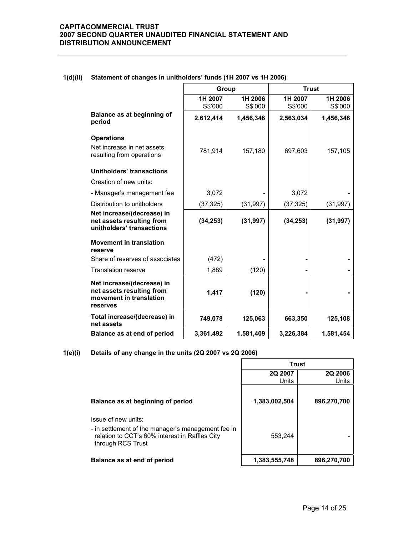|                                                                                                | Group              |                    | <b>Trust</b>       |                    |
|------------------------------------------------------------------------------------------------|--------------------|--------------------|--------------------|--------------------|
|                                                                                                | 1H 2007<br>S\$'000 | 1H 2006<br>S\$'000 | 1H 2007<br>S\$'000 | 1H 2006<br>S\$'000 |
| Balance as at beginning of<br>period                                                           | 2,612,414          | 1,456,346          | 2,563,034          | 1,456,346          |
| <b>Operations</b>                                                                              |                    |                    |                    |                    |
| Net increase in net assets<br>resulting from operations                                        | 781,914            | 157,180            | 697,603            | 157,105            |
| Unitholders' transactions                                                                      |                    |                    |                    |                    |
| Creation of new units:                                                                         |                    |                    |                    |                    |
| - Manager's management fee                                                                     | 3,072              |                    | 3,072              |                    |
| Distribution to unitholders                                                                    | (37, 325)          | (31, 997)          | (37, 325)          | (31, 997)          |
| Net increase/(decrease) in<br>net assets resulting from<br>unitholders' transactions           | (34, 253)          | (31, 997)          | (34, 253)          | (31, 997)          |
| <b>Movement in translation</b><br>reserve                                                      |                    |                    |                    |                    |
| Share of reserves of associates                                                                | (472)              |                    |                    |                    |
| <b>Translation reserve</b>                                                                     | 1,889              | (120)              |                    |                    |
| Net increase/(decrease) in<br>net assets resulting from<br>movement in translation<br>reserves | 1,417              | (120)              |                    |                    |
| Total increase/(decrease) in<br>net assets                                                     | 749,078            | 125,063            | 663,350            | 125,108            |
| Balance as at end of period                                                                    | 3,361,492          | 1,581,409          | 3,226,384          | 1,581,454          |

### **1(d)(ii) Statement of changes in unitholders' funds (1H 2007 vs 1H 2006)**

**1(e)(i) Details of any change in the units (2Q 2007 vs 2Q 2006)**

|                                                                                                                                                  | Trust            |                         |  |
|--------------------------------------------------------------------------------------------------------------------------------------------------|------------------|-------------------------|--|
|                                                                                                                                                  | 2Q 2007<br>Units | <b>2Q 2006</b><br>Units |  |
| Balance as at beginning of period                                                                                                                | 1,383,002,504    | 896,270,700             |  |
| Issue of new units:<br>- in settlement of the manager's management fee in<br>relation to CCT's 60% interest in Raffles City<br>through RCS Trust | 553.244          |                         |  |
| Balance as at end of period                                                                                                                      | 1,383,555,748    | 896,270,700             |  |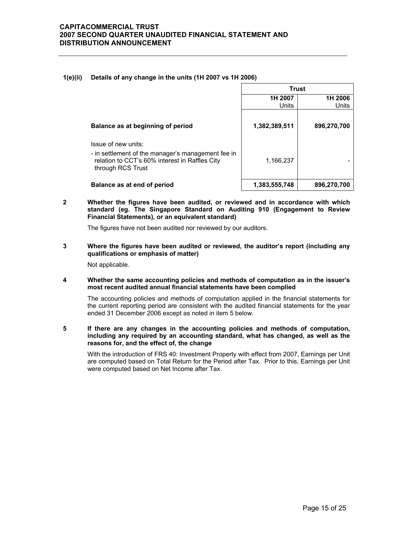#### **1(e)(ii) Details of any change in the units (1H 2007 vs 1H 2006)**

|                                                                                                                                                  | <b>Trust</b>  |             |  |
|--------------------------------------------------------------------------------------------------------------------------------------------------|---------------|-------------|--|
|                                                                                                                                                  | 1H 2007       | 1H 2006     |  |
|                                                                                                                                                  | Units         | Units       |  |
| Balance as at beginning of period                                                                                                                | 1,382,389,511 | 896,270,700 |  |
| Issue of new units:<br>- in settlement of the manager's management fee in<br>relation to CCT's 60% interest in Raffles City<br>through RCS Trust | 1,166,237     |             |  |
| Balance as at end of period                                                                                                                      | 1,383,555,748 | 896,270,700 |  |

**2 Whether the figures have been audited, or reviewed and in accordance with which standard (eg. The Singapore Standard on Auditing 910 (Engagement to Review Financial Statements), or an equivalent standard)** 

The figures have not been audited nor reviewed by our auditors.

**3 Where the figures have been audited or reviewed, the auditor's report (including any qualifications or emphasis of matter)** 

Not applicable.

**4 Whether the same accounting policies and methods of computation as in the issuer's most recent audited annual financial statements have been complied** 

The accounting policies and methods of computation applied in the financial statements for the current reporting period are consistent with the audited financial statements for the year ended 31 December 2006 except as noted in item 5 below.

**5 If there are any changes in the accounting policies and methods of computation, including any required by an accounting standard, what has changed, as well as the reasons for, and the effect of, the change** 

 With the introduction of FRS 40: Investment Property with effect from 2007, Earnings per Unit are computed based on Total Return for the Period after Tax. Prior to this, Earnings per Unit were computed based on Net Income after Tax.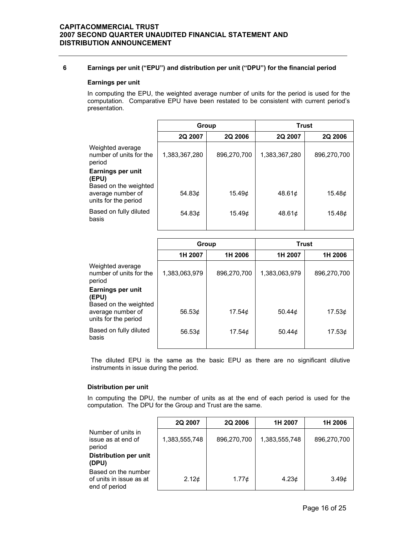### **6 Earnings per unit ("EPU") and distribution per unit ("DPU") for the financial period**

#### **Earnings per unit**

In computing the EPU, the weighted average number of units for the period is used for the computation. Comparative EPU have been restated to be consistent with current period's presentation.

|                                                       | Group         |                | <b>Trust</b>  |                |
|-------------------------------------------------------|---------------|----------------|---------------|----------------|
|                                                       | 2Q 2007       | <b>2Q 2006</b> | 2Q 2007       | <b>2Q 2006</b> |
| Weighted average<br>number of units for the<br>period | 1,383,367,280 | 896,270,700    | 1,383,367,280 | 896.270.700    |
| Earnings per unit<br>(EPU)<br>Based on the weighted   |               |                |               |                |
| average number of<br>units for the period             | 54.83 $\phi$  | 15.49c         | 48.61¢        | 15.48c         |
| Based on fully diluted<br>basis                       | 54.83¢        | 15.49¢         | 48.61c        | 15.48c         |

|                                                       | Group               |              | <b>Trust</b>  |             |
|-------------------------------------------------------|---------------------|--------------|---------------|-------------|
|                                                       | 1H 2007             | 1H 2006      | 1H 2007       | 1H 2006     |
| Weighted average<br>number of units for the<br>period | 1,383,063,979       | 896,270,700  | 1,383,063,979 | 896.270.700 |
| Earnings per unit<br>(EPU)<br>Based on the weighted   |                     |              |               |             |
| average number of<br>units for the period             | 56.53 $\phi$        | 17.54c       | 50.44 $\phi$  | 17.53c      |
| Based on fully diluted<br>basis                       | 56.53 $\mathcal{L}$ | 17.54 $\phi$ | 50.44 $\phi$  | 17.53c      |

The diluted EPU is the same as the basic EPU as there are no significant dilutive instruments in issue during the period.

#### **Distribution per unit**

In computing the DPU, the number of units as at the end of each period is used for the computation. The DPU for the Group and Trust are the same.

|                                                                 | 2Q 2007       | <b>2Q 2006</b> | 1H 2007           | 1H 2006           |
|-----------------------------------------------------------------|---------------|----------------|-------------------|-------------------|
| Number of units in<br>issue as at end of<br>period              | 1,383,555,748 | 896,270,700    | 1,383,555,748     | 896,270,700       |
| <b>Distribution per unit</b><br>(DPU)                           |               |                |                   |                   |
| Based on the number<br>of units in issue as at<br>end of period | 2.12¢         | 1.77¢          | 4.23 <sub>¢</sub> | 3.49 <sub>¢</sub> |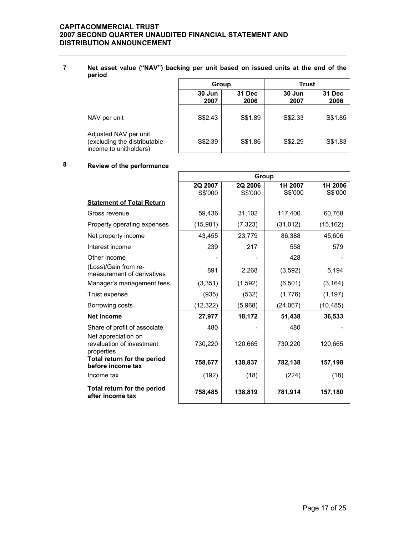#### **7 Net asset value ("NAV") backing per unit based on issued units at the end of the period**

|                                                                                 | Group                            |         | <b>Trust</b>   |                |
|---------------------------------------------------------------------------------|----------------------------------|---------|----------------|----------------|
|                                                                                 | 31 Dec<br>30 Jun<br>2007<br>2006 |         | 30 Jun<br>2007 | 31 Dec<br>2006 |
| NAV per unit                                                                    | S\$2.43                          | S\$1.89 | S\$2.33        | S\$1.85        |
| Adjusted NAV per unit<br>(excluding the distributable<br>income to unitholders) | S\$2.39                          | S\$1.86 | S\$2.29        | S\$1.83        |

# **8 Review of the performance**

|                                                                | Group              |                    |                    |                    |
|----------------------------------------------------------------|--------------------|--------------------|--------------------|--------------------|
|                                                                | 2Q 2007<br>S\$'000 | 2Q 2006<br>S\$'000 | 1H 2007<br>S\$'000 | 1H 2006<br>S\$'000 |
| <b>Statement of Total Return</b>                               |                    |                    |                    |                    |
| Gross revenue                                                  | 59,436             | 31,102             | 117,400            | 60,768             |
| Property operating expenses                                    | (15,981)           | (7, 323)           | (31, 012)          | (15, 162)          |
| Net property income                                            | 43,455             | 23,779             | 86,388             | 45,606             |
| Interest income                                                | 239                | 217                | 558                | 579                |
| Other income                                                   |                    |                    | 428                |                    |
| (Loss)/Gain from re-<br>measurement of derivatives             | 891                | 2,268              | (3, 592)           | 5,194              |
| Manager's management fees                                      | (3, 351)           | (1,592)            | (6, 501)           | (3, 164)           |
| Trust expense                                                  | (935)              | (532)              | (1,776)            | (1, 197)           |
| Borrowing costs                                                | (12, 322)          | (5,968)            | (24,067)           | (10, 485)          |
| Net income                                                     | 27,977             | 18,172             | 51,438             | 36,533             |
| Share of profit of associate                                   | 480                |                    | 480                |                    |
| Net appreciation on<br>revaluation of investment<br>properties | 730,220            | 120,665            | 730,220            | 120,665            |
| Total return for the period<br>before income tax               | 758,677            | 138,837            | 782,138            | 157,198            |
| Income tax                                                     | (192)              | (18)               | (224)              | (18)               |
| Total return for the period<br>after income tax                | 758,485            | 138,819            | 781,914            | 157,180            |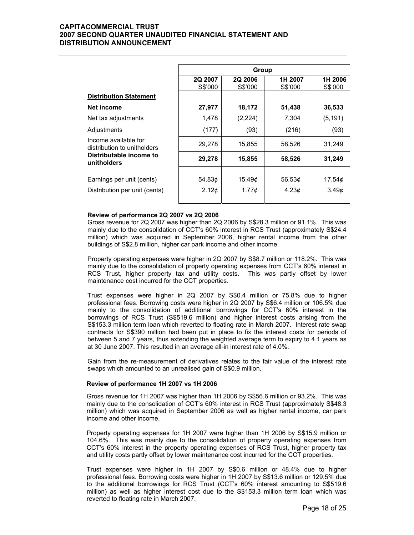|                                                     | Group              |                           |                    |                    |
|-----------------------------------------------------|--------------------|---------------------------|--------------------|--------------------|
|                                                     | 2Q 2007<br>S\$'000 | <b>2Q 2006</b><br>S\$'000 | 1H 2007<br>S\$'000 | 1H 2006<br>S\$'000 |
| <b>Distribution Statement</b>                       |                    |                           |                    |                    |
| Net income                                          | 27,977             | 18,172                    | 51,438             | 36,533             |
| Net tax adjustments                                 | 1,478              | (2,224)                   | 7,304              | (5, 191)           |
| Adjustments                                         | (177)              | (93)                      | (216)              | (93)               |
| Income available for<br>distribution to unitholders | 29,278             | 15,855                    | 58,526             | 31,249             |
| Distributable income to<br>unitholders              | 29,278             | 15,855                    | 58,526             | 31,249             |
| Earnings per unit (cents)                           | 54.83¢             | 15.49c                    | 56.53 $\phi$       | 17.54 <sub>¢</sub> |
| Distribution per unit (cents)                       | 2.12 <sub>c</sub>  | 1.77 <sub>c</sub>         | 4.23c              | 3.49 <sub>0</sub>  |

#### **Review of performance 2Q 2007 vs 2Q 2006**

 Gross revenue for 2Q 2007 was higher than 2Q 2006 by S\$28.3 million or 91.1%. This was mainly due to the consolidation of CCT's 60% interest in RCS Trust (approximately S\$24.4 million) which was acquired in September 2006, higher rental income from the other buildings of S\$2.8 million, higher car park income and other income.

Property operating expenses were higher in 2Q 2007 by S\$8.7 million or 118.2%. This was mainly due to the consolidation of property operating expenses from CCT's 60% interest in RCS Trust, higher property tax and utility costs. This was partly offset by lower maintenance cost incurred for the CCT properties.

Trust expenses were higher in 2Q 2007 by S\$0.4 million or 75.8% due to higher professional fees. Borrowing costs were higher in 2Q 2007 by S\$6.4 million or 106.5% due mainly to the consolidation of additional borrowings for CCT's 60% interest in the borrowings of RCS Trust (S\$519.6 million) and higher interest costs arising from the S\$153.3 million term loan which reverted to floating rate in March 2007. Interest rate swap contracts for S\$390 million had been put in place to fix the interest costs for periods of between 5 and 7 years, thus extending the weighted average term to expiry to 4.1 years as at 30 June 2007. This resulted in an average all-in interest rate of 4.0%.

Gain from the re-measurement of derivatives relates to the fair value of the interest rate swaps which amounted to an unrealised gain of S\$0.9 million.

#### **Review of performance 1H 2007 vs 1H 2006**

 Gross revenue for 1H 2007 was higher than 1H 2006 by S\$56.6 million or 93.2%. This was mainly due to the consolidation of CCT's 60% interest in RCS Trust (approximately S\$48.3 million) which was acquired in September 2006 as well as higher rental income, car park income and other income.

Property operating expenses for 1H 2007 were higher than 1H 2006 by S\$15.9 million or 104.6%. This was mainly due to the consolidation of property operating expenses from CCT's 60% interest in the property operating expenses of RCS Trust, higher property tax and utility costs partly offset by lower maintenance cost incurred for the CCT properties.

Trust expenses were higher in 1H 2007 by S\$0.6 million or 48.4% due to higher professional fees. Borrowing costs were higher in 1H 2007 by S\$13.6 million or 129.5% due to the additional borrowings for RCS Trust (CCT's 60% interest amounting to S\$519.6 million) as well as higher interest cost due to the S\$153.3 million term loan which was reverted to floating rate in March 2007.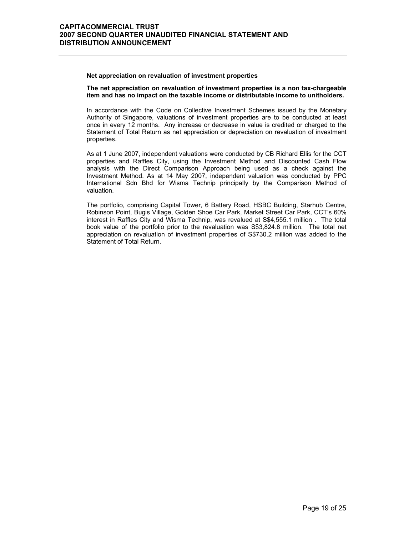#### **Net appreciation on revaluation of investment properties**

**The net appreciation on revaluation of investment properties is a non tax-chargeable item and has no impact on the taxable income or distributable income to unitholders.** 

In accordance with the Code on Collective Investment Schemes issued by the Monetary Authority of Singapore, valuations of investment properties are to be conducted at least once in every 12 months. Any increase or decrease in value is credited or charged to the Statement of Total Return as net appreciation or depreciation on revaluation of investment properties.

As at 1 June 2007, independent valuations were conducted by CB Richard Ellis for the CCT properties and Raffles City, using the Investment Method and Discounted Cash Flow analysis with the Direct Comparison Approach being used as a check against the Investment Method. As at 14 May 2007, independent valuation was conducted by PPC International Sdn Bhd for Wisma Technip principally by the Comparison Method of valuation.

The portfolio, comprising Capital Tower, 6 Battery Road, HSBC Building, Starhub Centre, Robinson Point, Bugis Village, Golden Shoe Car Park, Market Street Car Park, CCT's 60% interest in Raffles City and Wisma Technip, was revalued at S\$4,555.1 million . The total book value of the portfolio prior to the revaluation was S\$3,824.8 million. The total net appreciation on revaluation of investment properties of S\$730.2 million was added to the Statement of Total Return.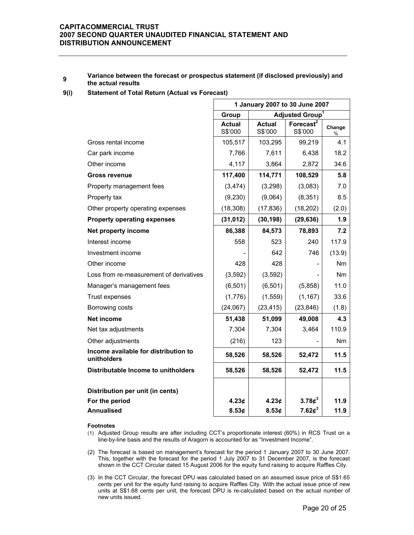#### **<sup>9</sup> Variance between the forecast or prospectus statement (if disclosed previously) and the actual results**

#### **9(i) Statement of Total Return (Actual vs Forecast)**

|                                                     | 1 January 2007 to 30 June 2007 |                          |                             |                |  |
|-----------------------------------------------------|--------------------------------|--------------------------|-----------------------------|----------------|--|
|                                                     | Group                          |                          | Adjusted Group <sup>1</sup> |                |  |
|                                                     | <b>Actual</b><br>S\$'000       | <b>Actual</b><br>S\$'000 | Forecast $2$<br>S\$'000     | Change<br>$\%$ |  |
| Gross rental income                                 | 105,517                        | 103,295                  | 99,219                      | 4.1            |  |
| Car park income                                     | 7,766                          | 7,611                    | 6,438                       | 18.2           |  |
| Other income                                        | 4,117                          | 3,864                    | 2,872                       | 34.6           |  |
| <b>Gross revenue</b>                                | 117,400                        | 114,771                  | 108,529                     | 5.8            |  |
| Property management fees                            | (3, 474)                       | (3,298)                  | (3,083)                     | 7.0            |  |
| Property tax                                        | (9,230)                        | (9,064)                  | (8,351)                     | 8.5            |  |
| Other property operating expenses                   | (18, 308)                      | (17, 836)                | (18, 202)                   | (2.0)          |  |
| <b>Property operating expenses</b>                  | (31, 012)                      | (30, 198)                | (29, 636)                   | 1.9            |  |
| Net property income                                 | 86,388                         | 84,573                   | 78,893                      | 7.2            |  |
| Interest income                                     | 558                            | 523                      | 240                         | 117.9          |  |
| Investment income                                   |                                | 642                      | 746                         | (13.9)         |  |
| Other income                                        | 428                            | 428                      | $\overline{\phantom{a}}$    | Nm             |  |
| Loss from re-measurement of derivatives             | (3,592)                        | (3,592)                  |                             | Nm             |  |
| Manager's management fees                           | (6, 501)                       | (6, 501)                 | (5,858)                     | 11.0           |  |
| Trust expenses                                      | (1,776)                        | (1, 559)                 | (1, 167)                    | 33.6           |  |
| Borrowing costs                                     | (24,067)                       | (23, 415)                | (23, 846)                   | (1.8)          |  |
| Net income                                          | 51,438                         | 51,099                   | 49,008                      | 4.3            |  |
| Net tax adjustments                                 | 7,304                          | 7,304                    | 3,464                       | 110.9          |  |
| Other adjustments                                   | (216)                          | 123                      |                             | Nm             |  |
| Income available for distribution to<br>unitholders | 58,526                         | 58,526                   | 52,472                      | $11.5$         |  |
| Distributable Income to unitholders                 | 58,526                         | 58,526                   | 52,472                      | 11.5           |  |
| Distribution per unit (in cents)                    |                                |                          |                             |                |  |
| For the period                                      | 4.23¢                          | 4.23 <sub>¢</sub>        | $3.78\phi^3$                | 11.9           |  |
| <b>Annualised</b>                                   | 8.53¢                          | 8.53¢                    | 7.62¢ <sup>3</sup>          | 11.9           |  |

#### **Footnotes**

- (1) Adjusted Group results are after including CCT's proportionate interest (60%) in RCS Trust on a line-by-line basis and the results of Aragorn is accounted for as "Investment Income".
- (2) The forecast is based on management's forecast for the period 1 January 2007 to 30 June 2007. This, together with the forecast for the period 1 July 2007 to 31 December 2007, is the forecast shown in the CCT Circular dated 15 August 2006 for the equity fund raising to acquire Raffles City.
- (3) In the CCT Circular, the forecast DPU was calculated based on an assumed issue price of S\$1.65 cents per unit for the equity fund raising to acquire Raffles City. With the actual issue price of new units at S\$1.68 cents per unit, the forecast DPU is re-calculated based on the actual number of new units issued.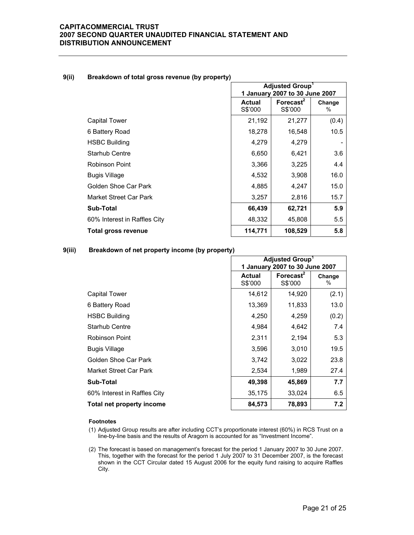### **Adjusted Group1 1 January 2007 to 30 June 2007 Actual Actual** S\$'000 **Forecast2**  S\$'000 **Change**  % Capital Tower 21,192 21,192 21,277 (0.4) 6 Battery Road 18,278 16,548 10.5 HSBC Building 1.279 4,279 Starhub Centre 2.650 6.650 6.421 3.6 Robinson Point 1 1 2,366 3,225 4.4 Bugis Village 4,532 3,908 16.0 Golden Shoe Car Park 15.0 Market Street Car Park 15.7 (3,257 | 2,816 | 15.7 **Sub-Total 66,439 62,721 5.9** 60% Interest in Raffles City **48,332** 45,808 5.5 **Total gross revenue 114,771 108,529 108,629 5.8**

#### **9(ii) Breakdown of total gross revenue (by property)**

#### **9(iii) Breakdown of net property income (by property)**

|                              | Adjusted Group <sup>1</sup><br>1 January 2007 to 30 June 2007 |                                  |                |
|------------------------------|---------------------------------------------------------------|----------------------------------|----------------|
|                              | <b>Actual</b><br>S\$'000                                      | Forecast <sup>2</sup><br>S\$'000 | Change<br>$\%$ |
| Capital Tower                | 14,612                                                        | 14,920                           | (2.1)          |
| 6 Battery Road               | 13,369                                                        | 11,833                           | 13.0           |
| <b>HSBC Building</b>         | 4,250                                                         | 4,259                            | (0.2)          |
| <b>Starhub Centre</b>        | 4,984                                                         | 4,642                            | 7.4            |
| Robinson Point               | 2,311                                                         | 2,194                            | 5.3            |
| <b>Bugis Village</b>         | 3,596                                                         | 3,010                            | 19.5           |
| Golden Shoe Car Park         | 3,742                                                         | 3,022                            | 23.8           |
| Market Street Car Park       | 2,534                                                         | 1,989                            | 27.4           |
| <b>Sub-Total</b>             | 49,398                                                        | 45,869                           | 7.7            |
| 60% Interest in Raffles City | 35,175                                                        | 33,024                           | 6.5            |
| Total net property income    | 84,573                                                        | 78,893                           | 7.2            |

#### **Footnotes**

(1) Adjusted Group results are after including CCT's proportionate interest (60%) in RCS Trust on a line-by-line basis and the results of Aragorn is accounted for as "Investment Income".

(2) The forecast is based on management's forecast for the period 1 January 2007 to 30 June 2007. This, together with the forecast for the period 1 July 2007 to 31 December 2007, is the forecast shown in the CCT Circular dated 15 August 2006 for the equity fund raising to acquire Raffles City.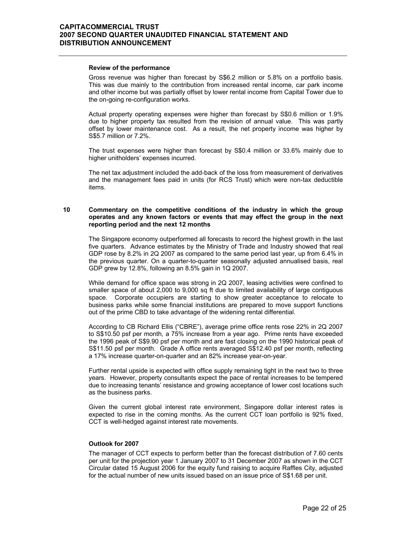#### **Review of the performance**

 Gross revenue was higher than forecast by S\$6.2 million or 5.8% on a portfolio basis. This was due mainly to the contribution from increased rental income, car park income and other income but was partially offset by lower rental income from Capital Tower due to the on-going re-configuration works.

Actual property operating expenses were higher than forecast by S\$0.6 million or 1.9% due to higher property tax resulted from the revision of annual value. This was partly offset by lower maintenance cost. As a result, the net property income was higher by S\$5.7 million or 7.2%.

The trust expenses were higher than forecast by S\$0.4 million or 33.6% mainly due to higher unitholders' expenses incurred.

The net tax adjustment included the add-back of the loss from measurement of derivatives and the management fees paid in units (for RCS Trust) which were non-tax deductible items.

#### **10 Commentary on the competitive conditions of the industry in which the group operates and any known factors or events that may effect the group in the next reporting period and the next 12 months**

 The Singapore economy outperformed all forecasts to record the highest growth in the last five quarters. Advance estimates by the Ministry of Trade and Industry showed that real GDP rose by 8.2% in 2Q 2007 as compared to the same period last year, up from 6.4% in the previous quarter. On a quarter-to-quarter seasonally adjusted annualised basis, real GDP grew by 12.8%, following an 8.5% gain in 1Q 2007.

While demand for office space was strong in 2Q 2007, leasing activities were confined to smaller space of about 2,000 to 9,000 sq ft due to limited availability of large contiguous space. Corporate occupiers are starting to show greater acceptance to relocate to business parks while some financial institutions are prepared to move support functions out of the prime CBD to take advantage of the widening rental differential.

According to CB Richard Ellis ("CBRE"), average prime office rents rose 22% in 2Q 2007 to S\$10.50 psf per month, a 75% increase from a year ago. Prime rents have exceeded the 1996 peak of S\$9.90 psf per month and are fast closing on the 1990 historical peak of S\$11.50 psf per month. Grade A office rents averaged S\$12.40 psf per month, reflecting a 17% increase quarter-on-quarter and an 82% increase year-on-year.

Further rental upside is expected with office supply remaining tight in the next two to three years. However, property consultants expect the pace of rental increases to be tempered due to increasing tenants' resistance and growing acceptance of lower cost locations such as the business parks.

Given the current global interest rate environment, Singapore dollar interest rates is expected to rise in the coming months. As the current CCT loan portfolio is 92% fixed, CCT is well-hedged against interest rate movements.

#### **Outlook for 2007**

 The manager of CCT expects to perform better than the forecast distribution of 7.60 cents per unit for the projection year 1 January 2007 to 31 December 2007 as shown in the CCT Circular dated 15 August 2006 for the equity fund raising to acquire Raffles City, adjusted for the actual number of new units issued based on an issue price of S\$1.68 per unit.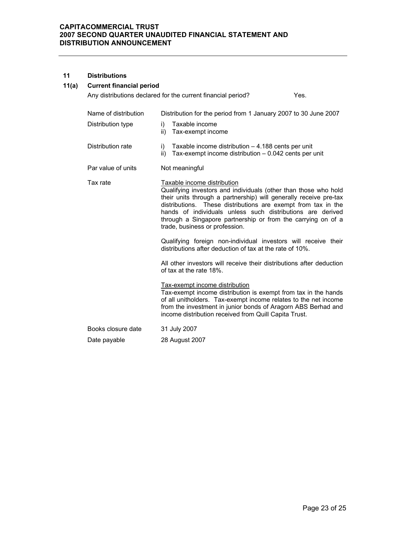#### **11 Distributions**

## **11(a) Current financial period**

|                                           | Any distributions declared for the current financial period?<br>Yes.                                                                                                                                                                                                                                                                                                                                 |
|-------------------------------------------|------------------------------------------------------------------------------------------------------------------------------------------------------------------------------------------------------------------------------------------------------------------------------------------------------------------------------------------------------------------------------------------------------|
| Name of distribution<br>Distribution type | Distribution for the period from 1 January 2007 to 30 June 2007<br>Taxable income<br>i)<br>Tax-exempt income<br>ii)                                                                                                                                                                                                                                                                                  |
| Distribution rate                         | Taxable income distribution $-4.188$ cents per unit<br>i)<br>Tax-exempt income distribution - 0.042 cents per unit<br>ii)                                                                                                                                                                                                                                                                            |
| Par value of units                        | Not meaningful                                                                                                                                                                                                                                                                                                                                                                                       |
| Tax rate                                  | Taxable income distribution<br>Qualifying investors and individuals (other than those who hold<br>their units through a partnership) will generally receive pre-tax<br>distributions. These distributions are exempt from tax in the<br>hands of individuals unless such distributions are derived<br>through a Singapore partnership or from the carrying on of a<br>trade, business or profession. |
|                                           | Qualifying foreign non-individual investors will receive their<br>distributions after deduction of tax at the rate of 10%.                                                                                                                                                                                                                                                                           |
|                                           | All other investors will receive their distributions after deduction<br>of tax at the rate 18%.                                                                                                                                                                                                                                                                                                      |
|                                           | Tax-exempt income distribution<br>Tax-exempt income distribution is exempt from tax in the hands<br>of all unitholders. Tax-exempt income relates to the net income<br>from the investment in junior bonds of Aragorn ABS Berhad and<br>income distribution received from Quill Capita Trust.                                                                                                        |
| Books closure date                        | 31 July 2007                                                                                                                                                                                                                                                                                                                                                                                         |
| Date payable                              | 28 August 2007                                                                                                                                                                                                                                                                                                                                                                                       |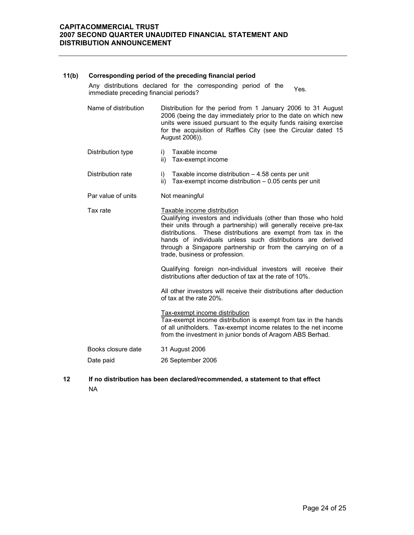#### **11(b) Corresponding period of the preceding financial period**

Any distributions declared for the corresponding period of the Any distinutions declared for the corresponding period of the Yes.<br>immediate preceding financial periods?

- Name of distribution Distribution for the period from 1 January 2006 to 31 August 2006 (being the day immediately prior to the date on which new units were issued pursuant to the equity funds raising exercise for the acquisition of Raffles City (see the Circular dated 15 August 2006)).
- Distribution type i) Taxable income ii) Tax-exempt income
	-
- Distribution rate i) Taxable income distribution 4.58 cents per unit  $ii)$  Tax-exempt income distribution  $-0.05$  cents per unit
- Par value of units Not meaningful
- Tax rate Taxable income distribution Qualifying investors and individuals (other than those who hold their units through a partnership) will generally receive pre-tax distributions. These distributions are exempt from tax in the hands of individuals unless such distributions are derived through a Singapore partnership or from the carrying on of a trade, business or profession.

Qualifying foreign non-individual investors will receive their distributions after deduction of tax at the rate of 10%.

All other investors will receive their distributions after deduction of tax at the rate 20%.

Tax-exempt income distribution Tax-exempt income distribution is exempt from tax in the hands of all unitholders. Tax-exempt income relates to the net income from the investment in junior bonds of Aragorn ABS Berhad.

 Books closure date 31 August 2006 Date paid 26 September 2006

**12 If no distribution has been declared/recommended, a statement to that effect**  NA